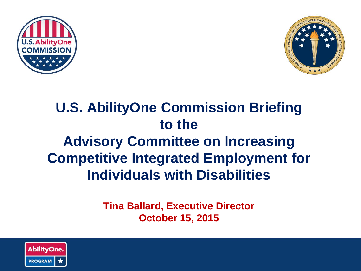



#### **U.S. AbilityOne Commission Briefing to the Advisory Committee on Increasing Competitive Integrated Employment for Individuals with Disabilities**

**Tina Ballard, Executive Director October 15, 2015**

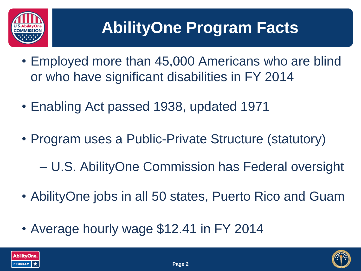

### **AbilityOne Program Facts**

- Employed more than 45,000 Americans who are blind or who have significant disabilities in FY 2014
- Enabling Act passed 1938, updated 1971
- Program uses a Public-Private Structure (statutory)
	- U.S. AbilityOne Commission has Federal oversight
- AbilityOne jobs in all 50 states, Puerto Rico and Guam
- Average hourly wage \$12.41 in FY 2014



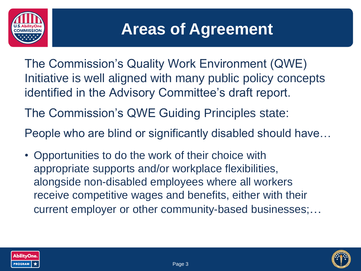

#### **Areas of Agreement**

- The Commission's Quality Work Environment (QWE) Initiative is well aligned with many public policy concepts identified in the Advisory Committee's draft report.
- The Commission's QWE Guiding Principles state:

People who are blind or significantly disabled should have…

• Opportunities to do the work of their choice with appropriate supports and/or workplace flexibilities, alongside non-disabled employees where all workers receive competitive wages and benefits, either with their current employer or other community-based businesses;…



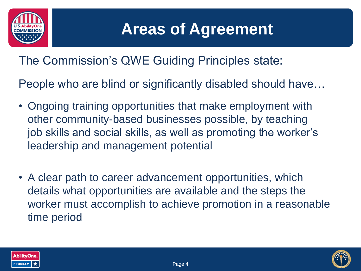

#### **Areas of Agreement**

The Commission's QWE Guiding Principles state:

People who are blind or significantly disabled should have…

- Ongoing training opportunities that make employment with other community-based businesses possible, by teaching job skills and social skills, as well as promoting the worker's leadership and management potential
- A clear path to career advancement opportunities, which details what opportunities are available and the steps the worker must accomplish to achieve promotion in a reasonable time period



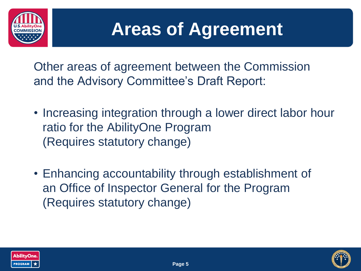

# **Areas of Agreement**

Other areas of agreement between the Commission and the Advisory Committee's Draft Report:

- Increasing integration through a lower direct labor hour ratio for the AbilityOne Program (Requires statutory change)
- Enhancing accountability through establishment of an Office of Inspector General for the Program (Requires statutory change)



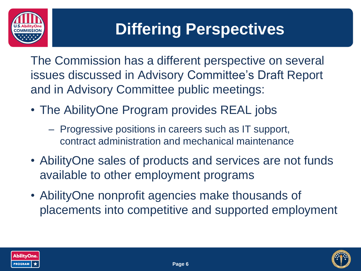

#### **Differing Perspectives**

The Commission has a different perspective on several issues discussed in Advisory Committee's Draft Report and in Advisory Committee public meetings:

- The AbilityOne Program provides REAL jobs
	- Progressive positions in careers such as IT support, contract administration and mechanical maintenance
- AbilityOne sales of products and services are not funds available to other employment programs
- AbilityOne nonprofit agencies make thousands of placements into competitive and supported employment



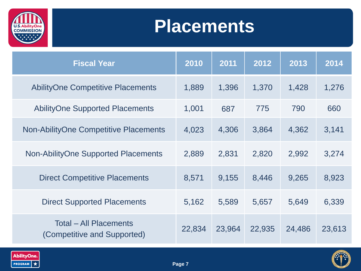

# **Placements**

| <b>Fiscal Year</b>                                           | 2010   | 2011   | 2012   | 2013   | 2014   |
|--------------------------------------------------------------|--------|--------|--------|--------|--------|
| <b>AbilityOne Competitive Placements</b>                     | 1,889  | 1,396  | 1,370  | 1,428  | 1,276  |
| <b>AbilityOne Supported Placements</b>                       | 1,001  | 687    | 775    | 790    | 660    |
| <b>Non-AbilityOne Competitive Placements</b>                 | 4,023  | 4,306  | 3,864  | 4,362  | 3,141  |
| Non-AbilityOne Supported Placements                          | 2,889  | 2,831  | 2,820  | 2,992  | 3,274  |
| <b>Direct Competitive Placements</b>                         | 8,571  | 9,155  | 8,446  | 9,265  | 8,923  |
| <b>Direct Supported Placements</b>                           | 5,162  | 5,589  | 5,657  | 5,649  | 6,339  |
| <b>Total – All Placements</b><br>(Competitive and Supported) | 22,834 | 23,964 | 22,935 | 24,486 | 23,613 |



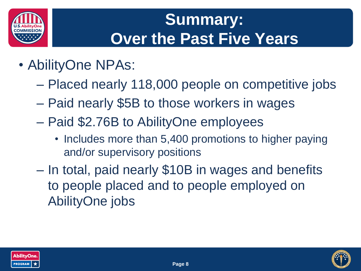

### **Summary: Over the Past Five Years**

- AbilityOne NPAs:
	- Placed nearly 118,000 people on competitive jobs
	- Paid nearly \$5B to those workers in wages
	- Paid \$2.76B to AbilityOne employees
		- Includes more than 5,400 promotions to higher paying and/or supervisory positions
	- In total, paid nearly \$10B in wages and benefits to people placed and to people employed on AbilityOne jobs



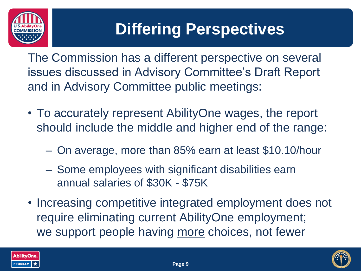

### **Differing Perspectives**

The Commission has a different perspective on several issues discussed in Advisory Committee's Draft Report and in Advisory Committee public meetings:

- To accurately represent AbilityOne wages, the report should include the middle and higher end of the range:
	- On average, more than 85% earn at least \$10.10/hour
	- Some employees with significant disabilities earn annual salaries of \$30K - \$75K
- Increasing competitive integrated employment does not require eliminating current AbilityOne employment; we support people having more choices, not fewer